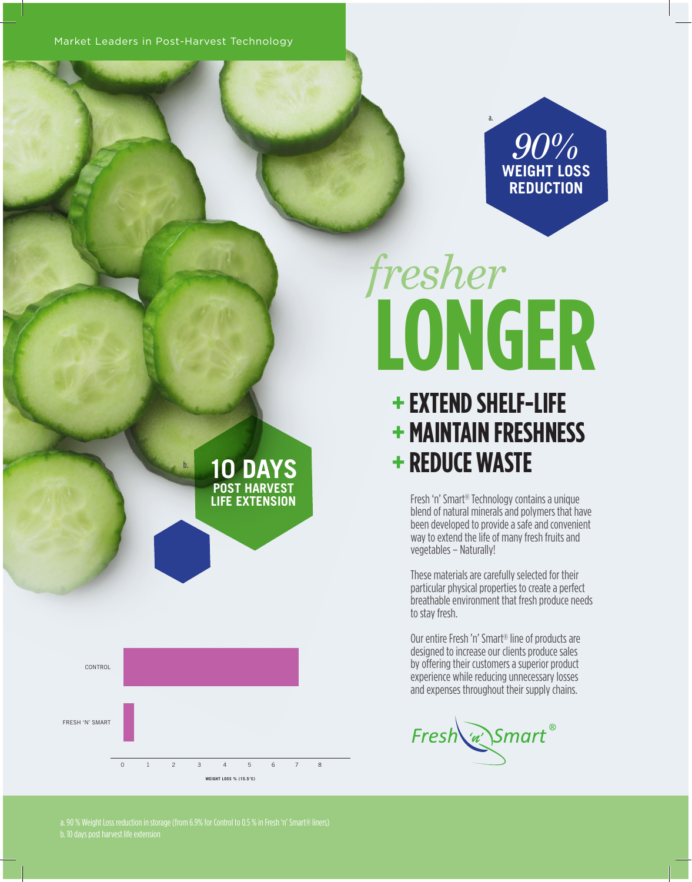Market Leaders in Post-Harvest Technology

*90%* **WEIGHT LOSS REDUCTION**

## **LONGER** *fresher*

a.

## **+ EXTEND SHELF-LIFE + MAINTAIN FRESHNESS + REDUCE WASTE**

Fresh 'n' Smart® Technology contains a unique blend of natural minerals and polymers that have been developed to provide a safe and convenient way to extend the life of many fresh fruits and vegetables – Naturally!

These materials are carefully selected for their particular physical properties to create a perfect breathable environment that fresh produce needs to stay fresh.

Our entire Fresh 'n' Smart® line of products are designed to increase our clients produce sales by offering their customers a superior product experience while reducing unnecessary losses and expenses throughout their supply chains.

Fresh w Smart®

b. **10 DAYS POST HARVEST LIFE EXTENSION**



a. 90 % Weight Loss reduction in storage (from 6.9% for Control to 0.5 % in Fresh 'n' Smart® liners)